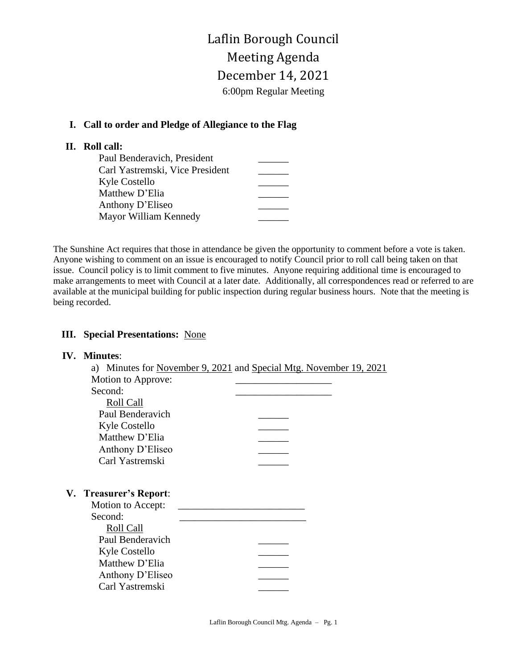# Laflin Borough Council Meeting Agenda December 14, 2021 6:00pm Regular Meeting

### **I. Call to order and Pledge of Allegiance to the Flag**

### **II. Roll call:**

| Paul Benderavich, President     |  |
|---------------------------------|--|
| Carl Yastremski, Vice President |  |
| Kyle Costello                   |  |
| Matthew D'Elia                  |  |
| Anthony D'Eliseo                |  |
| Mayor William Kennedy           |  |

The Sunshine Act requires that those in attendance be given the opportunity to comment before a vote is taken. Anyone wishing to comment on an issue is encouraged to notify Council prior to roll call being taken on that issue. Council policy is to limit comment to five minutes. Anyone requiring additional time is encouraged to make arrangements to meet with Council at a later date. Additionally, all correspondences read or referred to are available at the municipal building for public inspection during regular business hours. Note that the meeting is being recorded.

### **III. Special Presentations:** None

## **IV. Minutes**: a) Minutes for November 9, 2021 and Special Mtg. November 19, 2021 Motion to Approve: Second: Roll Call Paul Benderavich Kyle Costello \_\_\_\_\_\_ Matthew D'Elia Anthony D'Eliseo \_\_\_\_\_\_ Carl Yastremski **V. Treasurer's Report**: Motion to Accept: Second: Roll Call Paul Benderavich Kyle Costello Matthew D'Elia Anthony D'Eliseo Carl Yastremski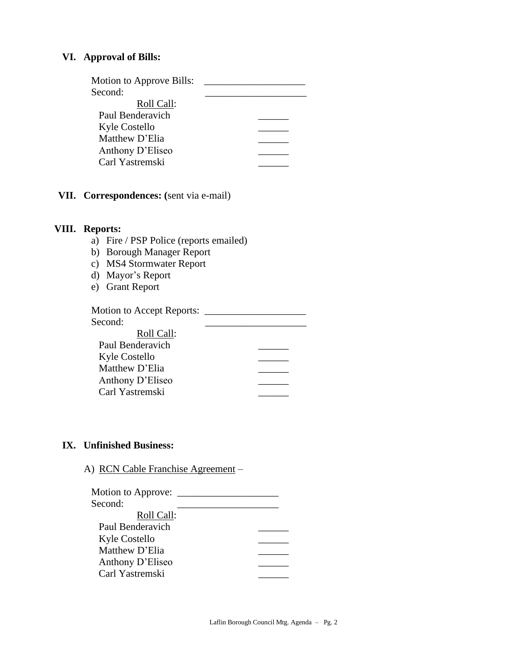### **VI. Approval of Bills:**

| Motion to Approve Bills: |  |
|--------------------------|--|
| Second:                  |  |
| Roll Call:               |  |
| Paul Benderavich         |  |
| Kyle Costello            |  |
| Matthew D'Elia           |  |
| Anthony D'Eliseo         |  |
| Carl Yastremski          |  |
|                          |  |

**VII. Correspondences: (**sent via e-mail)

### **VIII. Reports:**

- a) Fire / PSP Police (reports emailed)
- b) Borough Manager Report
- c) MS4 Stormwater Report
- d) Mayor's Report
- e) Grant Report

| <b>Motion to Accept Reports:</b> |  |
|----------------------------------|--|
| Second:                          |  |
| Roll Call:                       |  |
| Paul Benderavich                 |  |
| Kyle Costello                    |  |
| Matthew D'Elia                   |  |
| Anthony D'Eliseo                 |  |
| Carl Yastremski                  |  |

### **IX. Unfinished Business:**

A) RCN Cable Franchise Agreement –

| Motion to Approve: |  |
|--------------------|--|
| Second:            |  |
| Roll Call:         |  |
| Paul Benderavich   |  |
| Kyle Costello      |  |
| Matthew D'Elia     |  |
| Anthony D'Eliseo   |  |
| Carl Yastremski    |  |
|                    |  |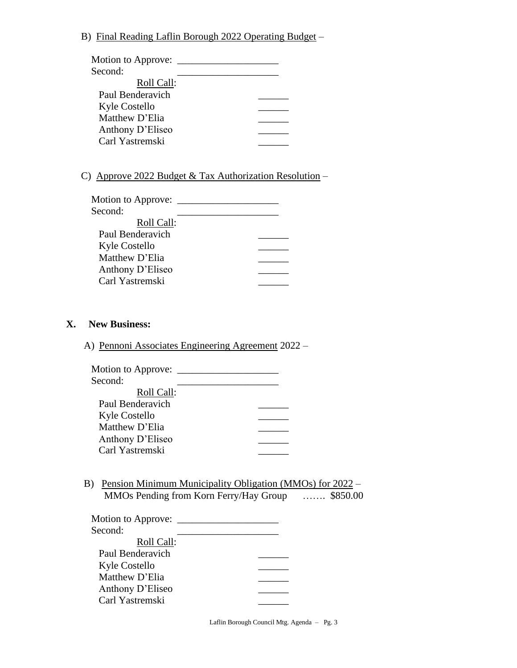B) Final Reading Laflin Borough 2022 Operating Budget –

| Motion to Approve: |  |
|--------------------|--|
| Second:            |  |
| Roll Call:         |  |
| Paul Benderavich   |  |
| Kyle Costello      |  |
| Matthew D'Elia     |  |
| Anthony D'Eliseo   |  |
| Carl Yastremski    |  |
|                    |  |

C) Approve 2022 Budget & Tax Authorization Resolution –

| Motion to Approve: |  |
|--------------------|--|
| Second:            |  |
| Roll Call:         |  |
| Paul Benderavich   |  |
| Kyle Costello      |  |
| Matthew D'Elia     |  |
| Anthony D'Eliseo   |  |
| Carl Yastremski    |  |
|                    |  |

#### **X. New Business:**

A) Pennoni Associates Engineering Agreement 2022 –

| Motion to Approve: |  |
|--------------------|--|
| Second:            |  |
| Roll Call:         |  |
| Paul Benderavich   |  |
| Kyle Costello      |  |
| Matthew D'Elia     |  |
| Anthony D'Eliseo   |  |
| Carl Yastremski    |  |
|                    |  |

B) Pension Minimum Municipality Obligation (MMOs) for 2022 – MMOs Pending from Korn Ferry/Hay Group ……. \$850.00

| Motion to Approve: |  |
|--------------------|--|
| Second:            |  |
| Roll Call:         |  |
| Paul Benderavich   |  |
| Kyle Costello      |  |
| Matthew D'Elia     |  |
| Anthony D'Eliseo   |  |
| Carl Yastremski    |  |

Laflin Borough Council Mtg. Agenda – Pg. 3